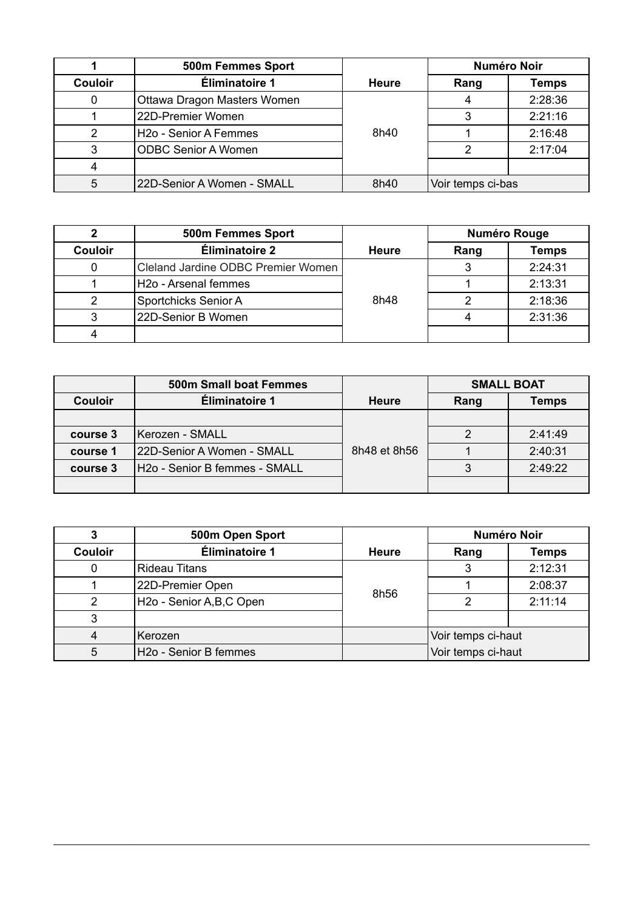|                | 500m Femmes Sport                 |              | <b>Numéro Noir</b> |         |
|----------------|-----------------------------------|--------------|--------------------|---------|
| <b>Couloir</b> | Éliminatoire 1                    | <b>Heure</b> | Rang               | Temps   |
|                | Ottawa Dragon Masters Women       |              |                    | 2:28:36 |
|                | 22D-Premier Women                 |              |                    | 2:21:16 |
|                | H <sub>20</sub> - Senior A Femmes | 8h40         |                    | 2:16:48 |
|                | <b>ODBC Senior A Women</b>        |              | 2                  | 2:17:04 |
|                |                                   |              |                    |         |
| 5              | 22D-Senior A Women - SMALL        | 8h40         | Voir temps ci-bas  |         |

|                | <b>500m Femmes Sport</b>           |              | <b>Numéro Rouge</b> |         |
|----------------|------------------------------------|--------------|---------------------|---------|
| <b>Couloir</b> | Éliminatoire 2                     | <b>Heure</b> | Rang                | Temps   |
|                | Cleland Jardine ODBC Premier Women |              |                     | 2:24:31 |
|                | H2o - Arsenal femmes               |              |                     | 2:13:31 |
|                | Sportchicks Senior A               | 8h48         |                     | 2:18:36 |
|                | 22D-Senior B Women                 |              |                     | 2:31:36 |
|                |                                    |              |                     |         |

|                | 500m Small boat Femmes        |              | <b>SMALL BOAT</b> |         |
|----------------|-------------------------------|--------------|-------------------|---------|
| <b>Couloir</b> | Éliminatoire 1                | Heure        | Rang              | Temps   |
|                |                               |              |                   |         |
| course 3       | Kerozen - SMALL               |              |                   | 2:41:49 |
| course 1       | 22D-Senior A Women - SMALL    | 8h48 et 8h56 |                   | 2:40:31 |
| course 3       | H2o - Senior B femmes - SMALL |              |                   | 2:49:22 |
|                |                               |              |                   |         |

|                | 500m Open Sport                   |              | <b>Numéro Noir</b> |              |
|----------------|-----------------------------------|--------------|--------------------|--------------|
| <b>Couloir</b> | Éliminatoire 1                    | <b>Heure</b> | Rang               | <b>Temps</b> |
|                | Rideau Titans                     |              |                    | 2:12:31      |
|                | 22D-Premier Open                  | 8h56         |                    | 2:08:37      |
|                | H2o - Senior A, B, C Open         |              |                    | 2:11:14      |
|                |                                   |              |                    |              |
|                | Kerozen                           |              | Voir temps ci-haut |              |
| 5              | H <sub>20</sub> - Senior B femmes |              | Voir temps ci-haut |              |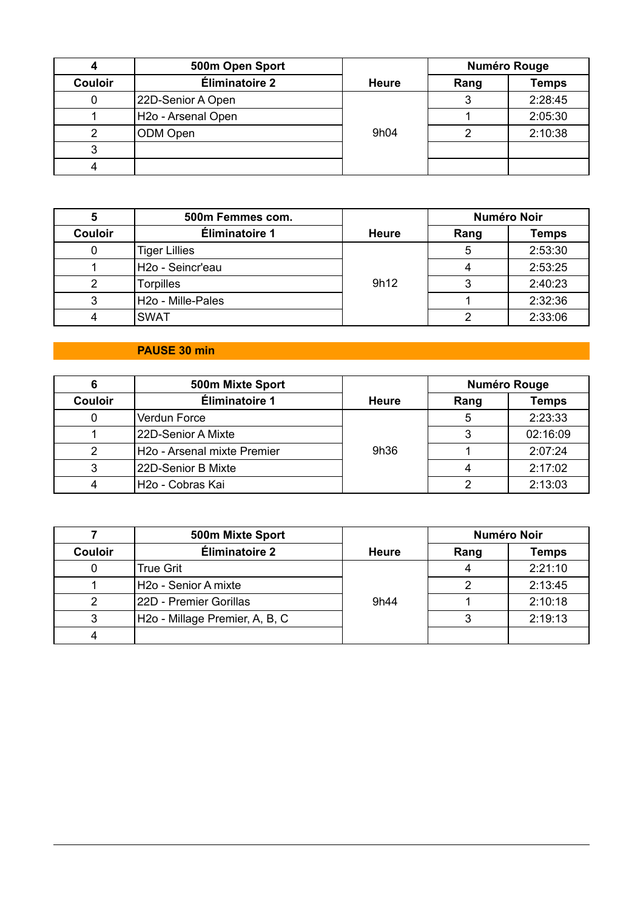|                | 500m Open Sport                |              | <b>Numéro Rouge</b> |              |
|----------------|--------------------------------|--------------|---------------------|--------------|
| <b>Couloir</b> | Éliminatoire 2                 | <b>Heure</b> | Rang                | <b>Temps</b> |
|                | 22D-Senior A Open              |              |                     | 2:28:45      |
|                | H <sub>20</sub> - Arsenal Open |              |                     | 2:05:30      |
|                | ODM Open                       | 9h04         |                     | 2:10:38      |
|                |                                |              |                     |              |
|                |                                |              |                     |              |

|                | 500m Femmes com.              |              | <b>Numéro Noir</b> |              |
|----------------|-------------------------------|--------------|--------------------|--------------|
| <b>Couloir</b> | Éliminatoire 1                | <b>Heure</b> | Rang               | <b>Temps</b> |
|                | <b>Tiger Lillies</b>          |              | 5                  | 2:53:30      |
|                | H <sub>20</sub> - Seincr'eau  |              |                    | 2:53:25      |
|                | <b>Torpilles</b>              | 9h12         |                    | 2:40:23      |
|                | H <sub>20</sub> - Mille-Pales |              |                    | 2:32:36      |
|                | <b>SWAT</b>                   |              |                    | 2:33:06      |

# **PAUSE 30 min**

|                | 500m Mixte Sport                        |              | <b>Numéro Rouge</b> |              |
|----------------|-----------------------------------------|--------------|---------------------|--------------|
| <b>Couloir</b> | Éliminatoire 1                          | <b>Heure</b> | Rang                | <b>Temps</b> |
|                | Verdun Force                            |              |                     | 2:23:33      |
|                | 22D-Senior A Mixte                      |              |                     | 02:16:09     |
|                | H <sub>20</sub> - Arsenal mixte Premier | 9h36         |                     | 2:07:24      |
|                | 22D-Senior B Mixte                      |              |                     | 2:17:02      |
|                | H2o - Cobras Kai                        |              |                     | 2:13:03      |

|                | 500m Mixte Sport                            |              | <b>Numéro Noir</b> |         |
|----------------|---------------------------------------------|--------------|--------------------|---------|
| <b>Couloir</b> | Éliminatoire 2                              | <b>Heure</b> | Rang               | Temps   |
|                | True Grit                                   |              |                    | 2:21:10 |
|                | H <sub>20</sub> - Senior A mixte            |              |                    | 2:13:45 |
|                | 22D - Premier Gorillas                      | 9h44         |                    | 2:10:18 |
|                | H <sub>2</sub> o - Millage Premier, A, B, C |              |                    | 2:19:13 |
|                |                                             |              |                    |         |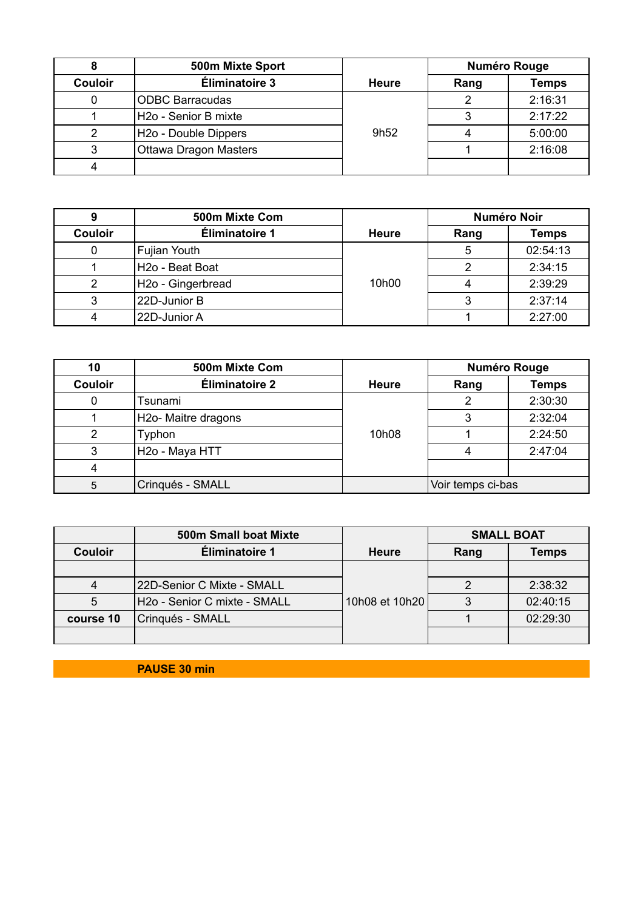|                | 500m Mixte Sport                 |                  | <b>Numéro Rouge</b> |              |
|----------------|----------------------------------|------------------|---------------------|--------------|
| <b>Couloir</b> | Éliminatoire 3                   | <b>Heure</b>     | Rang                | <b>Temps</b> |
|                | <b>ODBC Barracudas</b>           |                  |                     | 2:16:31      |
|                | H2o - Senior B mixte             |                  |                     | 2:17:22      |
|                | H <sub>20</sub> - Double Dippers | 9h <sub>52</sub> |                     | 5:00:00      |
|                | <b>Ottawa Dragon Masters</b>     |                  |                     | 2:16:08      |
|                |                                  |                  |                     |              |

|                | 500m Mixte Com                |              | <b>Numéro Noir</b> |              |
|----------------|-------------------------------|--------------|--------------------|--------------|
| <b>Couloir</b> | Éliminatoire 1                | <b>Heure</b> | Rang               | <b>Temps</b> |
|                | Fujian Youth                  |              |                    | 02:54:13     |
|                | H <sub>20</sub> - Beat Boat   |              |                    | 2:34:15      |
|                | H <sub>20</sub> - Gingerbread | 10h00        |                    | 2:39:29      |
|                | 22D-Junior B                  |              |                    | 2:37:14      |
|                | 22D-Junior A                  |              |                    | 2:27:00      |

| 10             | 500m Mixte Com                   |              | <b>Numéro Rouge</b> |              |
|----------------|----------------------------------|--------------|---------------------|--------------|
| <b>Couloir</b> | Éliminatoire 2                   | <b>Heure</b> | Rang                | <b>Temps</b> |
|                | Tsunami                          |              |                     | 2:30:30      |
|                | H <sub>20</sub> - Maitre dragons |              |                     | 2:32:04      |
|                | Typhon                           | 10h08        |                     | 2:24:50      |
|                | H <sub>20</sub> - Maya HTT       |              |                     | 2:47:04      |
|                |                                  |              |                     |              |
| 5              | Crinqués - SMALL                 |              | Voir temps ci-bas   |              |

|                | <b>500m Small boat Mixte</b> |                | <b>SMALL BOAT</b> |          |
|----------------|------------------------------|----------------|-------------------|----------|
| <b>Couloir</b> | <b>Éliminatoire 1</b>        | <b>Heure</b>   | Rang              | Temps    |
|                |                              |                |                   |          |
|                | 22D-Senior C Mixte - SMALL   |                |                   | 2:38:32  |
| 5              | H2o - Senior C mixte - SMALL | 10h08 et 10h20 |                   | 02:40:15 |
| course 10      | Crinqués - SMALL             |                |                   | 02:29:30 |
|                |                              |                |                   |          |

**PAUSE 30 min**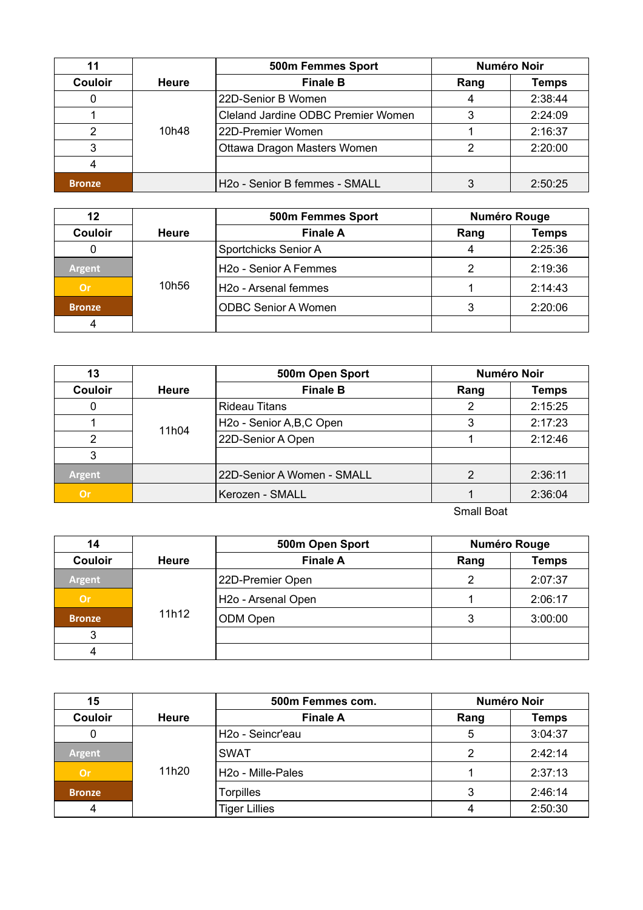|                |                          | <b>Numéro Noir</b><br>500m Femmes Sport   |      |              |
|----------------|--------------------------|-------------------------------------------|------|--------------|
| <b>Couloir</b> | <b>Finale B</b><br>Heure |                                           | Rang | <b>Temps</b> |
|                |                          | 22D-Senior B Women                        |      | 2:38:44      |
|                |                          | Cleland Jardine ODBC Premier Women        |      | 2:24:09      |
|                | 10h48                    | 22D-Premier Women                         |      | 2:16:37      |
|                |                          | Ottawa Dragon Masters Women               |      | 2:20:00      |
|                |                          |                                           |      |              |
| <b>Bronze</b>  |                          | H <sub>20</sub> - Senior B femmes - SMALL |      | 2:50:25      |

| $12 \,$        |       | 500m Femmes Sport                 | <b>Numéro Rouge</b> |              |
|----------------|-------|-----------------------------------|---------------------|--------------|
| <b>Couloir</b> | Heure | <b>Finale A</b>                   | Rang                | <b>Temps</b> |
|                |       | Sportchicks Senior A              | 4                   | 2:25:36      |
| <b>Argent</b>  |       | H <sub>20</sub> - Senior A Femmes |                     | 2:19:36      |
| Or             | 10h56 | H <sub>20</sub> - Arsenal femmes  |                     | 2:14:43      |
| <b>Bronze</b>  |       | <b>ODBC Senior A Women</b>        |                     | 2:20:06      |
|                |       |                                   |                     |              |

| 13             |              | 500m Open Sport            | <b>Numéro Noir</b> |              |
|----------------|--------------|----------------------------|--------------------|--------------|
| <b>Couloir</b> | <b>Heure</b> | <b>Finale B</b>            | Rang               | <b>Temps</b> |
|                |              | <b>Rideau Titans</b>       | າ                  | 2:15:25      |
|                | 11h04        | H2o - Senior A, B, C Open  | 3                  | 2:17:23      |
|                |              | 22D-Senior A Open          |                    | 2:12:46      |
|                |              |                            |                    |              |
| <b>Argent</b>  |              | 22D-Senior A Women - SMALL | 2                  | 2:36:11      |
| <b>Or</b>      |              | Kerozen - SMALL            |                    | 2:36:04      |

Small Boat

| 14             |              | 500m Open Sport                | <b>Numéro Rouge</b> |              |
|----------------|--------------|--------------------------------|---------------------|--------------|
| <b>Couloir</b> | <b>Heure</b> | <b>Finale A</b>                | Rang                | <b>Temps</b> |
| <b>Argent</b>  |              | 22D-Premier Open               | 2                   | 2:07:37      |
| <b>Or</b>      |              | H <sub>20</sub> - Arsenal Open |                     | 2:06:17      |
| <b>Bronze</b>  | 11h12        | ODM Open                       | 3                   | 3:00:00      |
| 3              |              |                                |                     |              |
| 4              |              |                                |                     |              |

| 15             |              | 500m Femmes com.             | <b>Numéro Noir</b> |              |
|----------------|--------------|------------------------------|--------------------|--------------|
| <b>Couloir</b> | <b>Heure</b> | <b>Finale A</b>              | Rang               | <b>Temps</b> |
|                |              | H <sub>20</sub> - Seincr'eau | 5                  | 3:04:37      |
| <b>Argent</b>  |              | <b>SWAT</b>                  | 2                  | 2:42:14      |
| Or             | 11h20        | H2o - Mille-Pales            |                    | 2:37:13      |
| <b>Bronze</b>  |              | <b>Torpilles</b>             | 3                  | 2:46:14      |
|                |              | <b>Tiger Lillies</b>         |                    | 2:50:30      |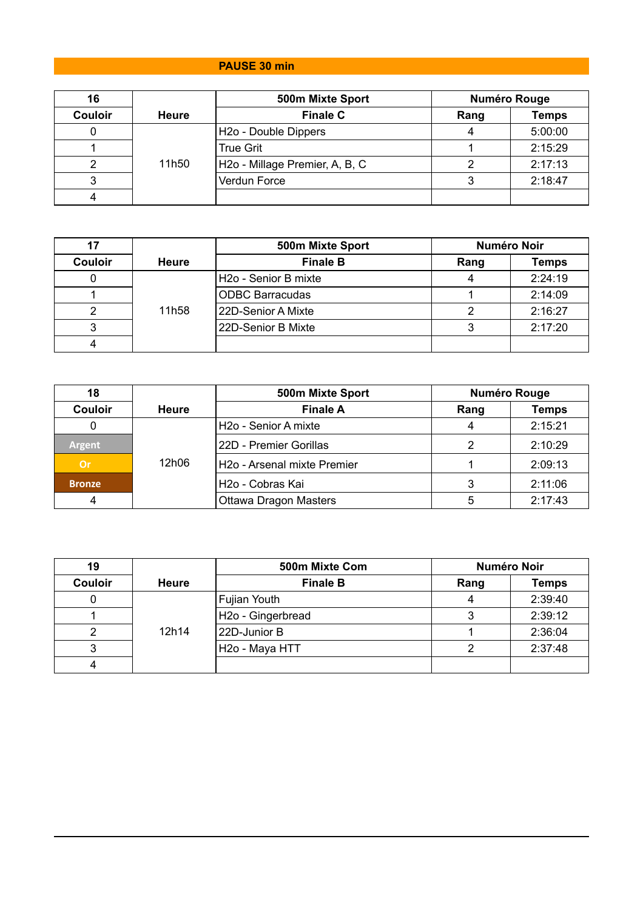# **PAUSE 30 min**

| 16             |              | 500m Mixte Sport               | <b>Numéro Rouge</b> |              |
|----------------|--------------|--------------------------------|---------------------|--------------|
| <b>Couloir</b> | <b>Heure</b> | <b>Finale C</b>                | Rang                | <b>Temps</b> |
|                |              | H2o - Double Dippers           |                     | 5:00:00      |
|                |              | <b>True Grit</b>               |                     | 2:15:29      |
|                | 11h50        | H2o - Millage Premier, A, B, C |                     | 2:17:13      |
|                |              | Verdun Force                   |                     | 2:18:47      |
|                |              |                                |                     |              |

|                |       | 500m Mixte Sport                 | <b>Numéro Noir</b> |              |
|----------------|-------|----------------------------------|--------------------|--------------|
| <b>Couloir</b> | Heure | <b>Finale B</b>                  | Rang               | <b>Temps</b> |
|                |       | H <sub>20</sub> - Senior B mixte |                    | 2:24:19      |
|                |       | <b>ODBC Barracudas</b>           |                    | 2:14:09      |
|                | 11h58 | 22D-Senior A Mixte               |                    | 2:16:27      |
|                |       | 22D-Senior B Mixte               |                    | 2:17:20      |
|                |       |                                  |                    |              |

| 18             |              | 500m Mixte Sport                 | <b>Numéro Rouge</b> |              |
|----------------|--------------|----------------------------------|---------------------|--------------|
| <b>Couloir</b> | <b>Heure</b> | <b>Finale A</b>                  | Rang                | <b>Temps</b> |
|                |              | H <sub>20</sub> - Senior A mixte |                     | 2:15:21      |
| <b>Argent</b>  |              | 22D - Premier Gorillas           |                     | 2:10:29      |
| Or             | 12h06        | H2o - Arsenal mixte Premier      |                     | 2:09:13      |
| <b>Bronze</b>  |              | H <sub>20</sub> - Cobras Kai     |                     | 2:11:06      |
|                |              | Ottawa Dragon Masters            | 5                   | 2:17:43      |

| 19             |              | <b>Numéro Noir</b><br>500m Mixte Com |      |              |
|----------------|--------------|--------------------------------------|------|--------------|
| <b>Couloir</b> | <b>Heure</b> | <b>Finale B</b>                      | Rang | <b>Temps</b> |
|                |              | <b>Fujian Youth</b>                  |      | 2:39:40      |
|                |              | H <sub>20</sub> - Gingerbread        |      | 2:39:12      |
|                | 12h14        | 22D-Junior B                         |      | 2:36:04      |
|                |              | H <sub>20</sub> - Maya HTT           |      | 2:37:48      |
|                |              |                                      |      |              |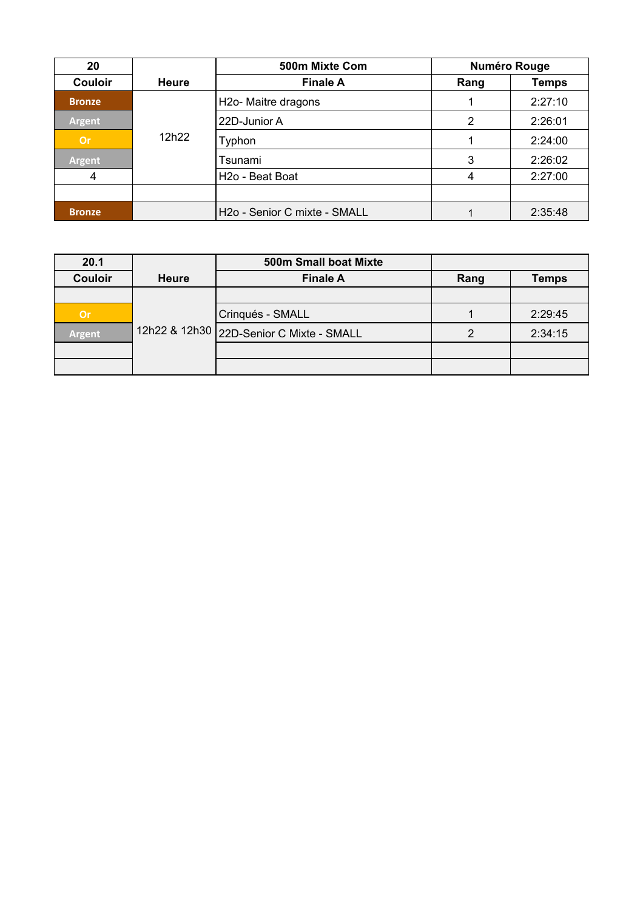| 20             |              | 500m Mixte Com                           | <b>Numéro Rouge</b> |              |
|----------------|--------------|------------------------------------------|---------------------|--------------|
| <b>Couloir</b> | <b>Heure</b> | <b>Finale A</b>                          | Rang                | <b>Temps</b> |
| <b>Bronze</b>  |              | H2o- Maitre dragons                      |                     | 2:27:10      |
| <b>Argent</b>  |              | 22D-Junior A                             | 2                   | 2:26:01      |
| <b>Or</b>      | 12h22        | Typhon                                   |                     | 2:24:00      |
| <b>Argent</b>  |              | Tsunami                                  | 3                   | 2:26:02      |
| 4              |              | H <sub>20</sub> - Beat Boat              | 4                   | 2:27:00      |
|                |              |                                          |                     |              |
| <b>Bronze</b>  |              | H <sub>20</sub> - Senior C mixte - SMALL |                     | 2:35:48      |

| 20.1           |              | 500m Small boat Mixte                    |      |              |
|----------------|--------------|------------------------------------------|------|--------------|
| <b>Couloir</b> | <b>Heure</b> | <b>Finale A</b>                          | Rang | <b>Temps</b> |
|                |              |                                          |      |              |
| Or             |              | Crinqués - SMALL                         |      | 2:29:45      |
| Argent         |              | 12h22 & 12h30 22D-Senior C Mixte - SMALL |      | 2:34:15      |
|                |              |                                          |      |              |
|                |              |                                          |      |              |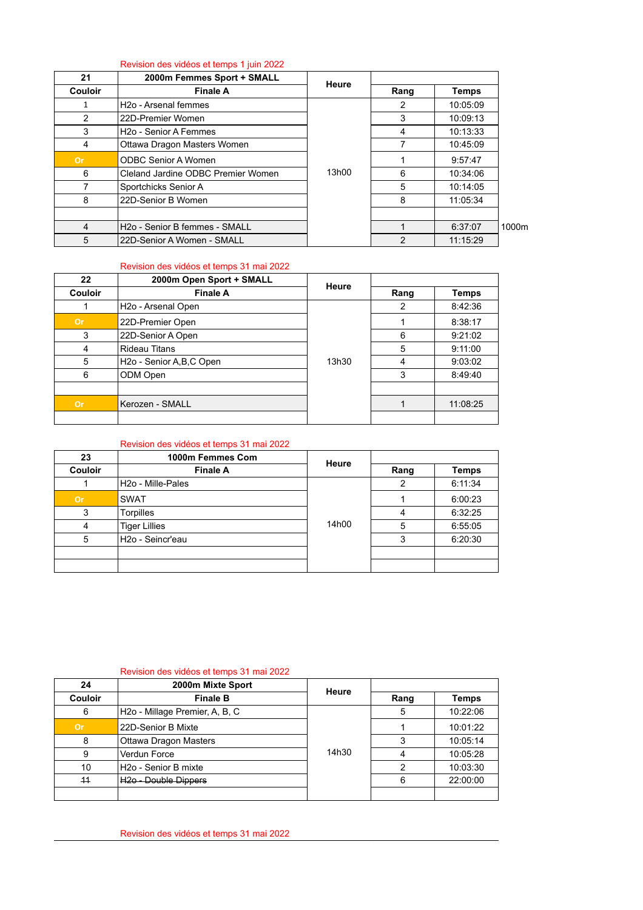### Revision des vidéos et temps 1 juin 2022

| 21             | 2000m Femmes Sport + SMALL         | Heure |      |          |       |
|----------------|------------------------------------|-------|------|----------|-------|
| <b>Couloir</b> | <b>Finale A</b>                    |       | Rang | Temps    |       |
| 1              | H <sub>20</sub> - Arsenal femmes   |       | 2    | 10:05:09 |       |
| 2              | 22D-Premier Women                  |       | 3    | 10:09:13 |       |
| 3              | H <sub>2</sub> o - Senior A Femmes |       | 4    | 10:13:33 |       |
| 4              | Ottawa Dragon Masters Women        |       | 7    | 10:45:09 |       |
| <b>Or</b>      | <b>ODBC Senior A Women</b>         |       |      | 9:57:47  |       |
| 6              | Cleland Jardine ODBC Premier Women | 13h00 | 6    | 10:34:06 |       |
|                | Sportchicks Senior A               |       | 5    | 10:14:05 |       |
| 8              | 22D-Senior B Women                 |       | 8    | 11:05:34 |       |
|                |                                    |       |      |          |       |
| 4              | H2o - Senior B femmes - SMALL      |       |      | 6:37:07  | 1000m |
| 5              | 22D-Senior A Women - SMALL         |       | 2    | 11:15:29 |       |

## Revision des vidéos et temps 31 mai 2022

| 22             | 2000m Open Sport + SMALL               | Heure |      |              |
|----------------|----------------------------------------|-------|------|--------------|
| <b>Couloir</b> | <b>Finale A</b>                        |       | Rang | <b>Temps</b> |
|                | H <sub>2</sub> o - Arsenal Open        |       | 2    | 8:42:36      |
| <b>Or</b>      | 22D-Premier Open                       |       |      | 8:38:17      |
| 3              | 22D-Senior A Open                      |       | 6    | 9:21:02      |
| 4              | <b>Rideau Titans</b>                   |       | 5    | 9:11:00      |
| 5              | H <sub>2</sub> o - Senior A, B, C Open | 13h30 | 4    | 9:03:02      |
| 6              | ODM Open                               |       | 3    | 8:49:40      |
|                |                                        |       |      |              |
| <b>Or</b>      | Kerozen - SMALL                        |       |      | 11:08:25     |
|                |                                        |       |      |              |

### Revision des vidéos et temps 31 mai 2022

| 23             | 1000m Femmes Com               | <b>Heure</b> |                |              |
|----------------|--------------------------------|--------------|----------------|--------------|
| <b>Couloir</b> | <b>Finale A</b>                |              | Rang           | <b>Temps</b> |
|                | H <sub>2</sub> o - Mille-Pales | 14h00        | 2              | 6:11:34      |
| <b>Or</b>      | <b>SWAT</b>                    |              |                | 6:00:23      |
| 3              | Torpilles                      |              | $\overline{4}$ | 6:32:25      |
| 4              | <b>Tiger Lillies</b>           |              | 5              | 6:55:05      |
| 5              | H <sub>20</sub> - Seincr'eau   |              | 3              | 6:20:30      |
|                |                                |              |                |              |
|                |                                |              |                |              |

#### Revision des vidéos et temps 31 mai 2022

| 24             | 2000m Mixte Sport                           | Heure |      |          |
|----------------|---------------------------------------------|-------|------|----------|
| <b>Couloir</b> | <b>Finale B</b>                             |       | Rang | Temps    |
| 6              | H <sub>2</sub> o - Millage Premier, A, B, C | 14h30 | 5    | 10:22:06 |
| <b>Or</b>      | 22D-Senior B Mixte                          |       |      | 10:01:22 |
| 8              | Ottawa Dragon Masters                       |       | 3    | 10:05:14 |
|                | Verdun Force                                |       | 4    | 10:05:28 |
| 10             | H <sub>2</sub> o - Senior B mixte           |       | 2    | 10:03:30 |
| 44             | H <sub>20</sub> - Double Dippers            |       | 6    | 22:00:00 |
|                |                                             |       |      |          |